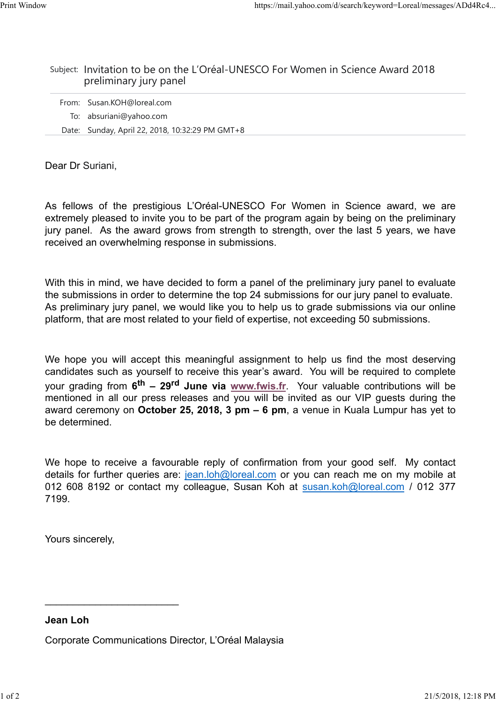#### Subject: Invitation to be on the L'Oréal-UNESCO For Women in Science Award 2018 preliminary jury panel

| From: Susan.KOH@loreal.com                      |
|-------------------------------------------------|
| To: absuriani@yahoo.com                         |
| Date: Sunday, April 22, 2018, 10:32:29 PM GMT+8 |

Dear Dr Suriani,

As fellows of the prestigious L'Oréal-UNESCO For Women in Science award, we are extremely pleased to invite you to be part of the program again by being on the preliminary jury panel. As the award grows from strength to strength, over the last 5 years, we have received an overwhelming response in submissions.

With this in mind, we have decided to form a panel of the preliminary jury panel to evaluate the submissions in order to determine the top 24 submissions for our jury panel to evaluate. As preliminary jury panel, we would like you to help us to grade submissions via our online platform, that are most related to your field of expertise, not exceeding 50 submissions.

We hope you will accept this meaningful assignment to help us find the most deserving candidates such as yourself to receive this year's award. You will be required to complete your grading from **6 th – 29rd June via www.fwis.fr**. Your valuable contributions will be mentioned in all our press releases and you will be invited as our VIP guests during the award ceremony on **October 25, 2018, 3 pm – 6 pm**, a venue in Kuala Lumpur has yet to be determined.

We hope to receive a favourable reply of confirmation from your good self. My contact details for further queries are: jean.loh@loreal.com or you can reach me on my mobile at 012 608 8192 or contact my colleague, Susan Koh at susan.koh@loreal.com / 012 377 7199.

Yours sincerely,

\_\_\_\_\_\_\_\_\_\_\_\_\_\_\_\_\_\_\_\_\_\_\_\_

**Jean Loh**

Corporate Communications Director, L'Oréal Malaysia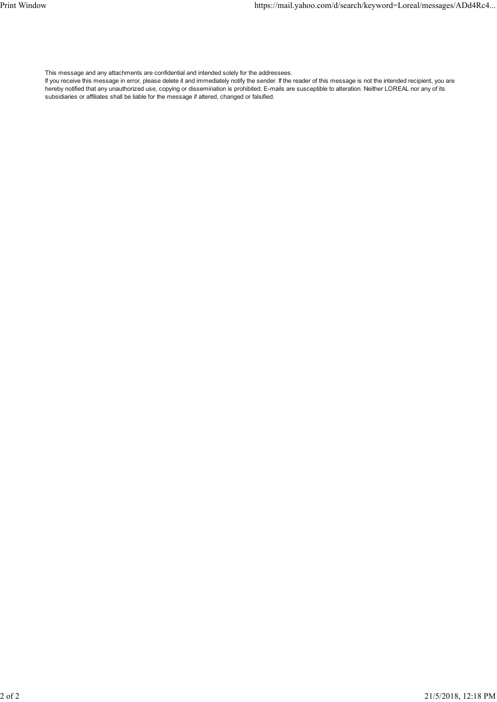This message and any attachments are confidential and intended solely for the addressees.

If you receive this message in error, please delete it and immediately notify the sender. If the reader of this message is not the intended recipient, you are hereby notified that any unauthorized use, copying or dissemination is prohibited. E-mails are susceptible to alteration. Neither LOREAL nor any of its subsidiaries or affiliates shall be liable for the message if altered, changed or falsified.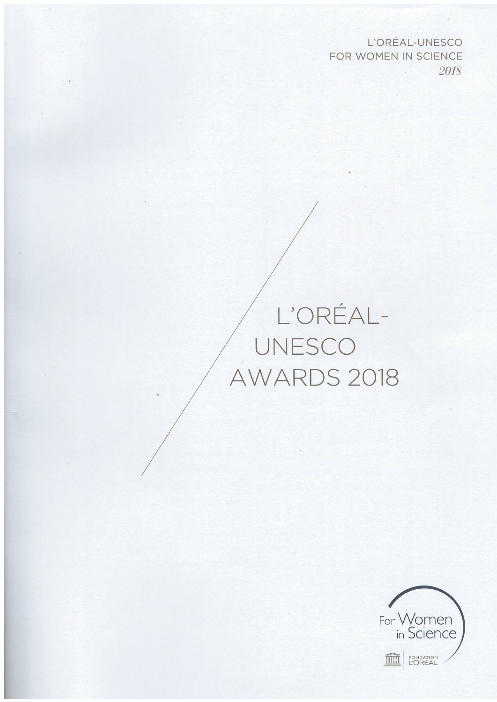L'ORÉAL-UNESCO FOR WOMEN IN SCIENCE 2018

## L'ORÉAL-AWARDS 2018

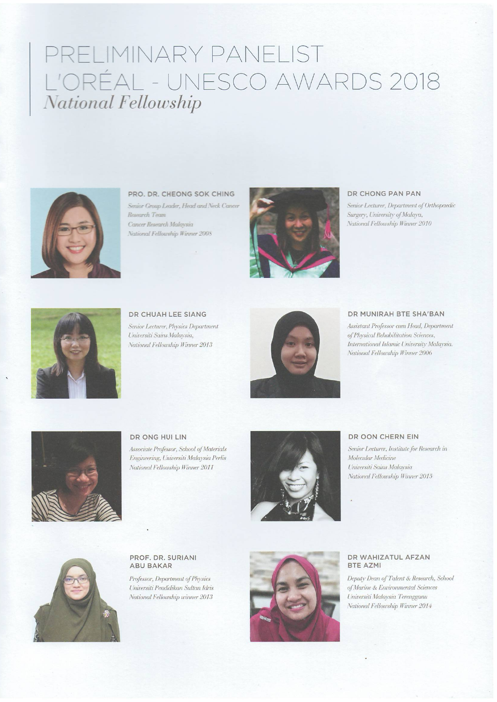### PRELIMINARY PANELIST L'ORÉAL - UNESCO AWARDS 2018 National Fellowship



PRO. DR. CHEONG SOK CHING

Senior Group Leader, Head and Neck Cancer Research Team Cancer Research Malaysia National Fellowship Winner 2008



#### DR CHONG PAN PAN

Senior Lecturer, Department of Orthopaedic Surgery, University of Malaya, National Fellowship Winner 2010



DR CHUAH LEE SIANG Senior Lecturer, Physics Department Universiti Sains Malaysia, National Fellowship Winner 2013



#### DR MUNIRAH BTE SHA'BAN

Assistant Professor cum Head, Department of Physical Rehabilitation Sciences, International Islamic University Malaysia. National Fellowship Winner 2006



DR ONG HUI LIN

Associate Professor, School of Materials Engineering, Universiti Malaysia Perlis National Fellowship Winner 2011



#### DR OON CHERN EIN

Senior Lecturer, Institute for Research in Molecular Medicine Universiti Sains Malaysia National Fellowship Winner 2015



PROF. DR. SURIANI **ABU BAKAR** 

Professor, Department of Physics Universiti Pendidikan Sultan Idris National Fellowship winner 2013



#### DR WAHIZATUL AFZAN **BTE AZMI**

Deputy Dean of Talent & Research, School of Marine & Environmental Sciences Universiti Malaysia Terengganu National Fellowship Winner 2014